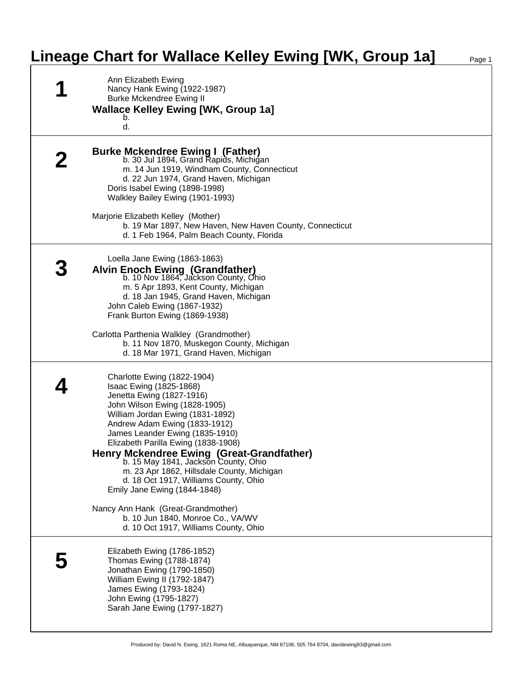## **Lineage Chart for Wallace Kelley Ewing [WK, Group 1a]** Page 1

| Ann Elizabeth Ewing<br>Nancy Hank Ewing (1922-1987)<br><b>Burke Mckendree Ewing II</b><br><b>Wallace Kelley Ewing [WK, Group 1a]</b><br>b.<br>d.                                                                                                                                                                                                                                                                                                                                |
|---------------------------------------------------------------------------------------------------------------------------------------------------------------------------------------------------------------------------------------------------------------------------------------------------------------------------------------------------------------------------------------------------------------------------------------------------------------------------------|
| <b>Burke Mckendree Ewing I (Father)</b><br>b. 30 Jul 1894, Grand Rapids, Michigan<br>m. 14 Jun 1919, Windham County, Connecticut<br>d. 22 Jun 1974, Grand Haven, Michigan<br>Doris Isabel Ewing (1898-1998)<br>Walkley Bailey Ewing (1901-1993)                                                                                                                                                                                                                                 |
| Marjorie Elizabeth Kelley (Mother)<br>b. 19 Mar 1897, New Haven, New Haven County, Connecticut<br>d. 1 Feb 1964, Palm Beach County, Florida                                                                                                                                                                                                                                                                                                                                     |
| Loella Jane Ewing (1863-1863)<br>Alvin Enoch Ewing (Grandfather)<br>b. 10 Nov 1864, Jackson County, Ohio<br>m. 5 Apr 1893, Kent County, Michigan<br>d. 18 Jan 1945, Grand Haven, Michigan<br>John Caleb Ewing (1867-1932)<br>Frank Burton Ewing (1869-1938)                                                                                                                                                                                                                     |
| Carlotta Parthenia Walkley (Grandmother)<br>b. 11 Nov 1870, Muskegon County, Michigan<br>d. 18 Mar 1971, Grand Haven, Michigan                                                                                                                                                                                                                                                                                                                                                  |
| Charlotte Ewing (1822-1904)<br>Isaac Ewing (1825-1868)<br>Jenetta Ewing (1827-1916)<br>John Wilson Ewing (1828-1905)<br>William Jordan Ewing (1831-1892)<br>Andrew Adam Ewing (1833-1912)<br>James Leander Ewing (1835-1910)<br>Elizabeth Parilla Ewing (1838-1908)<br>Henry Mckendree Ewing (Great-Grandfather)<br>b. 15 May 1841, Jackson County, Ohio<br>m. 23 Apr 1862, Hillsdale County, Michigan<br>d. 18 Oct 1917, Williams County, Ohio<br>Emily Jane Ewing (1844-1848) |
| Nancy Ann Hank (Great-Grandmother)<br>b. 10 Jun 1840, Monroe Co., VA/WV<br>d. 10 Oct 1917, Williams County, Ohio                                                                                                                                                                                                                                                                                                                                                                |
| Elizabeth Ewing (1786-1852)<br>Thomas Ewing (1788-1874)<br>Jonathan Ewing (1790-1850)<br>William Ewing II (1792-1847)<br>James Ewing (1793-1824)<br>John Ewing (1795-1827)<br>Sarah Jane Ewing (1797-1827)                                                                                                                                                                                                                                                                      |